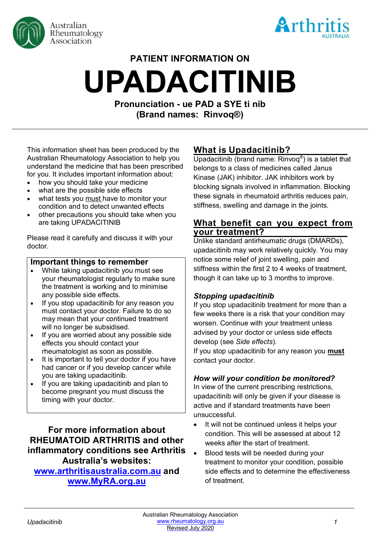



# **PATIENT INFORMATION ON UPADACITINIB**

**Pronunciation - ue PAD a SYE ti nib (Brand names: Rinvoq®)**

This information sheet has been produced by the Australian Rheumatology Association to help you understand the medicine that has been prescribed for you. It includes important information about:

- how you should take your medicine
- what are the possible side effects
- what tests you must have to monitor your condition and to detect unwanted effects
- other precautions you should take when you are taking UPADACITINIB

Please read it carefully and discuss it with your doctor.

#### **Important things to remember**

- While taking upadacitinib you must see your rheumatologist regularly to make sure the treatment is working and to minimise any possible side effects.
- If you stop upadacitinib for any reason you must contact your doctor. Failure to do so may mean that your continued treatment will no longer be subsidised.
- If you are worried about any possible side effects you should contact your rheumatologist as soon as possible.
- It is important to tell your doctor if you have had cancer or if you develop cancer while you are taking upadacitinib.
- If you are taking upadacitinib and plan to become pregnant you must discuss the timing with your doctor.

**For more information about RHEUMATOID ARTHRITIS and other inflammatory conditions see Arthritis Australia's websites: [www.arthritisaustralia.com.au](http://www.arthritisaustralia.com.au/) and** 

# **www.MyRA.org.au**

# **What is Upadacitinib?**

Upadacitinib (brand name: Rinvoq®) is a tablet that belongs to a class of medicines called Janus Kinase (JAK) inhibitor. JAK inhibitors work by blocking signals involved in inflammation. Blocking these signals in rheumatoid arthritis reduces pain, stiffness, swelling and damage in the joints.

## **What benefit can you expect from your treatment?**

Unlike standard antirheumatic drugs (DMARDs), upadacitinib may work relatively quickly. You may notice some relief of joint swelling, pain and stiffness within the first 2 to 4 weeks of treatment, though it can take up to 3 months to improve.

#### *Stopping upadacitinib*

If you stop upadacitinib treatment for more than a few weeks there is a risk that your condition may worsen. Continue with your treatment unless advised by your doctor or unless side effects develop (see *Side effects*).

If you stop upadacitinib for any reason you **must** contact your doctor.

## *How will your condition be monitored?*

In view of the current prescribing restrictions, upadacitinib will only be given if your disease is active and if standard treatments have been unsuccessful.

- It will not be continued unless it helps your condition. This will be assessed at about 12 weeks after the start of treatment.
- Blood tests will be needed during your treatment to monitor your condition, possible side effects and to determine the effectiveness of treatment.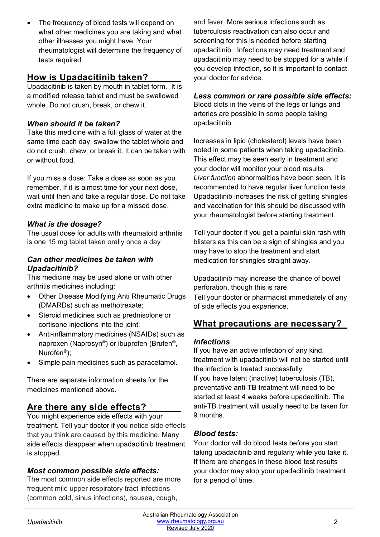The frequency of blood tests will depend on what other medicines you are taking and what other illnesses you might have. Your rheumatologist will determine the frequency of tests required.

# **How is Upadacitinib taken?**

Upadacitinib is taken by mouth in tablet form. It is a modified release tablet and must be swallowed whole. Do not crush, break, or chew it.

# *When should it be taken?*

Take this medicine with a full glass of water at the same time each day, swallow the tablet whole and do not crush, chew, or break it. It can be taken with or without food.

If you miss a dose: Take a dose as soon as you remember. If it is almost time for your next dose, wait until then and take a regular dose. Do not take extra medicine to make up for a missed dose.

# *What is the dosage?*

The usual dose for adults with rheumatoid arthritis is one 15 mg tablet taken orally once a day

#### *Can other medicines be taken with Upadacitinib?*

This medicine may be used alone or with other arthritis medicines including:

- Other Disease Modifying Anti Rheumatic Drugs (DMARDs) such as methotrexate;
- Steroid medicines such as prednisolone or cortisone injections into the joint;
- Anti-inflammatory medicines (NSAIDs) such as naproxen (Naprosyn®) or ibuprofen (Brufen®, Nurofen®);
- Simple pain medicines such as paracetamol.

There are separate information sheets for the medicines mentioned above.

# **Are there any side effects?**

You might experience side effects with your treatment. Tell your doctor if you notice side effects that you think are caused by this medicine. Many side effects disappear when upadacitinib treatment is stopped.

## *Most common possible side effects:*

The most common side effects reported are more frequent mild upper respiratory tract infections (common cold, sinus infections), nausea, cough,

and fever. More serious infections such as tuberculosis reactivation can also occur and screening for this is needed before starting upadacitinib. Infections may need treatment and upadacitinib may need to be stopped for a while if you develop infection, so it is important to contact your doctor for advice.

### *Less common or rare possible side effects:*

Blood clots in the veins of the legs or lungs and arteries are possible in some people taking upadacitinib.

Increases in lipid (cholesterol) levels have been noted in some patients when taking upadacitinib. This effect may be seen early in treatment and your doctor will monitor your blood results. *Liver function* abnormalities have been seen. It is recommended to have regular liver function tests. Upadacitinib increases the risk of getting shingles and vaccination for this should be discussed with your rheumatologist before starting treatment.

Tell your doctor if you get a painful skin rash with blisters as this can be a sign of shingles and you may have to stop the treatment and start medication for shingles straight away.

Upadacitinib may increase the chance of bowel perforation, though this is rare.

Tell your doctor or pharmacist immediately of any of side effects you experience.

# **What precautions are necessary?**

#### *Infections*

If you have an active infection of any kind, treatment with upadacitinib will not be started until the infection is treated successfully. If you have latent (inactive) tuberculosis (TB), preventative anti-TB treatment will need to be started at least 4 weeks before upadacitinib. The anti-TB treatment will usually need to be taken for 9 months.

## *Blood tests:*

Your doctor will do blood tests before you start taking upadacitinib and regularly while you take it. If there are changes in these blood test results your doctor may stop your upadacitinib treatment for a period of time.